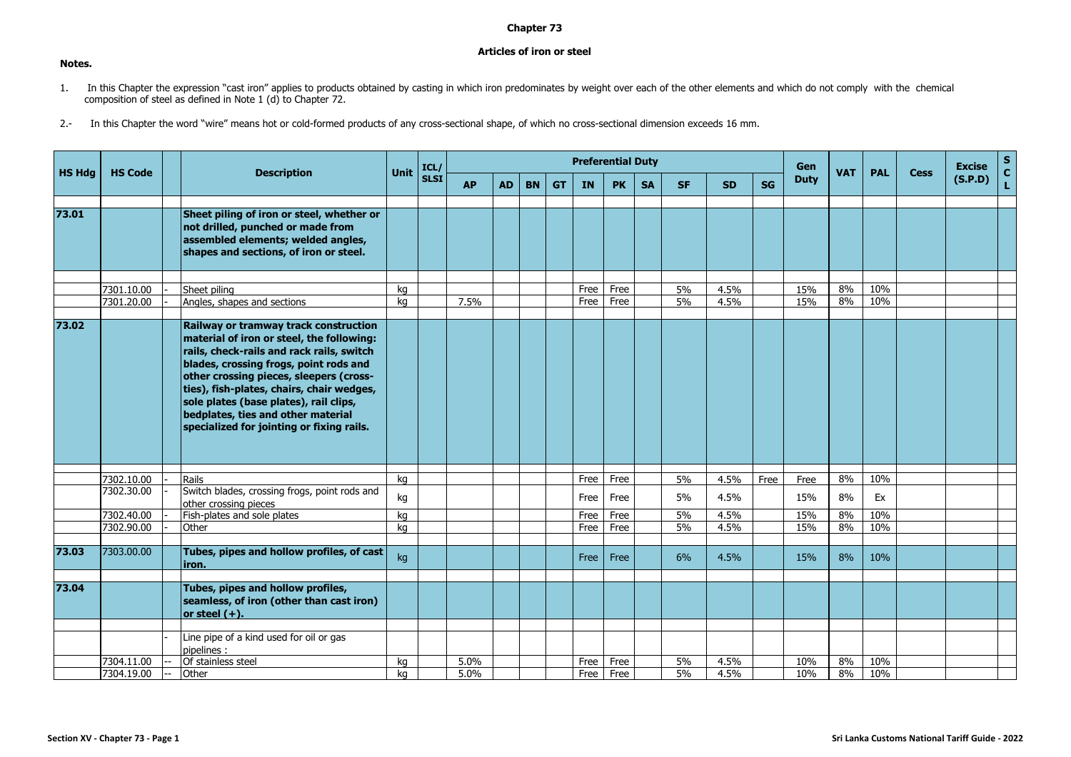## **Chapter 73**

## **Articles of iron or steel**

- 1. In this Chapter the expression "cast iron" applies to products obtained by casting in which iron predominates by weight over each of the other elements and which do not comply with the chemical composition of steel as defined in Note 1 (d) to Chapter 72.
- 2.- In this Chapter the word "wire" means hot or cold-formed products of any cross-sectional shape, of which no cross-sectional dimension exceeds 16 mm.

|               |                          |                                                                                                                                                                                                                                                                                                                                                                                                |          | ICL/        |           |           |           |           | <b>Preferential Duty</b> |              |           |           |              |           | Gen         |            |            |             | <b>Excise</b> | $\mathbf{s}$       |
|---------------|--------------------------|------------------------------------------------------------------------------------------------------------------------------------------------------------------------------------------------------------------------------------------------------------------------------------------------------------------------------------------------------------------------------------------------|----------|-------------|-----------|-----------|-----------|-----------|--------------------------|--------------|-----------|-----------|--------------|-----------|-------------|------------|------------|-------------|---------------|--------------------|
| <b>HS Hdg</b> | <b>HS Code</b>           | <b>Description</b>                                                                                                                                                                                                                                                                                                                                                                             | Unit     | <b>SLSI</b> | <b>AP</b> | <b>AD</b> | <b>BN</b> | <b>GT</b> | IN                       | <b>PK</b>    | <b>SA</b> | <b>SF</b> | <b>SD</b>    | <b>SG</b> | <b>Duty</b> | <b>VAT</b> | <b>PAL</b> | <b>Cess</b> | (S.P.D)       | $\mathbf{C}$<br>L. |
| 73.01         |                          | Sheet piling of iron or steel, whether or<br>not drilled, punched or made from<br>assembled elements; welded angles,<br>shapes and sections, of iron or steel.                                                                                                                                                                                                                                 |          |             |           |           |           |           |                          |              |           |           |              |           |             |            |            |             |               |                    |
|               | 7301.10.00<br>7301.20.00 | Sheet piling<br>Angles, shapes and sections                                                                                                                                                                                                                                                                                                                                                    | ka<br>ka |             | 7.5%      |           |           |           | Free<br>Free             | Free<br>Free |           | 5%<br>5%  | 4.5%<br>4.5% |           | 15%<br>15%  | 8%<br>8%   | 10%<br>10% |             |               |                    |
| 73.02         |                          | Railway or tramway track construction<br>material of iron or steel, the following:<br>rails, check-rails and rack rails, switch<br>blades, crossing frogs, point rods and<br>other crossing pieces, sleepers (cross-<br>ties), fish-plates, chairs, chair wedges,<br>sole plates (base plates), rail clips,<br>bedplates, ties and other material<br>specialized for jointing or fixing rails. |          |             |           |           |           |           |                          |              |           |           |              |           |             |            |            |             |               |                    |
|               | 7302.10.00               | Rails                                                                                                                                                                                                                                                                                                                                                                                          | kg       |             |           |           |           |           | Free                     | Free         |           | 5%        | 4.5%         | Free      | Free        | 8%         | 10%        |             |               |                    |
|               | 7302.30.00               | Switch blades, crossing frogs, point rods and<br>other crossing pieces                                                                                                                                                                                                                                                                                                                         | kg       |             |           |           |           |           | Free                     | Free         |           | 5%        | 4.5%         |           | 15%         | 8%         | Ex         |             |               |                    |
|               | 7302.40.00<br>7302.90.00 | Fish-plates and sole plates<br>Other                                                                                                                                                                                                                                                                                                                                                           | kg<br>ka |             |           |           |           |           | Free<br>Free             | Free<br>Free |           | 5%<br>5%  | 4.5%<br>4.5% |           | 15%<br>15%  | 8%<br>8%   | 10%<br>10% |             |               |                    |
| 73.03         | 7303.00.00               | Tubes, pipes and hollow profiles, of cast<br>liron.                                                                                                                                                                                                                                                                                                                                            | kg       |             |           |           |           |           | Free                     | Free         |           | 6%        | 4.5%         |           | 15%         | 8%         | 10%        |             |               |                    |
| 73.04         |                          | Tubes, pipes and hollow profiles,<br>seamless, of iron (other than cast iron)<br>or steel $(+)$ .                                                                                                                                                                                                                                                                                              |          |             |           |           |           |           |                          |              |           |           |              |           |             |            |            |             |               |                    |
|               | 7304.11.00               | Line pipe of a kind used for oil or gas<br>pipelines :<br>Of stainless steel                                                                                                                                                                                                                                                                                                                   | kg       |             | 5.0%      |           |           |           | Free                     | Free         |           | 5%        | 4.5%         |           | 10%         | 8%         | 10%        |             |               |                    |
|               | 7304.19.00               | Other                                                                                                                                                                                                                                                                                                                                                                                          | ka       |             | 5.0%      |           |           |           | Free                     | Free         |           | 5%        | 4.5%         |           | 10%         | 8%         | 10%        |             |               |                    |

**Notes.**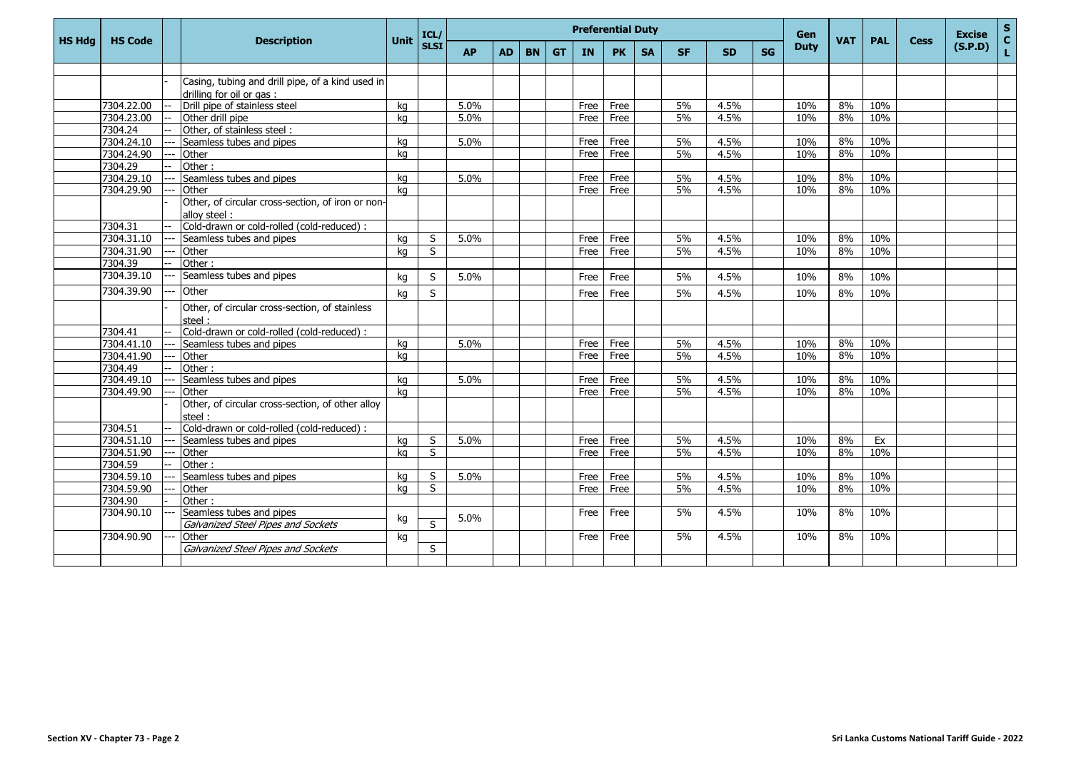|               |                |                                                            |      | ICL/                    |           |           |           |           |           | <b>Preferential Duty</b> |           |           |           |           | <b>Gen</b>  |            |            |             | <b>Excise</b> | $\mathbf S$        |
|---------------|----------------|------------------------------------------------------------|------|-------------------------|-----------|-----------|-----------|-----------|-----------|--------------------------|-----------|-----------|-----------|-----------|-------------|------------|------------|-------------|---------------|--------------------|
| <b>HS Hdg</b> | <b>HS Code</b> | <b>Description</b>                                         | Unit | <b>SLSI</b>             | <b>AP</b> | <b>AD</b> | <b>BN</b> | <b>GT</b> | <b>IN</b> | <b>PK</b>                | <b>SA</b> | <b>SF</b> | <b>SD</b> | <b>SG</b> | <b>Duty</b> | <b>VAT</b> | <b>PAL</b> | <b>Cess</b> | (S.P.D)       | $\mathbf{C}$<br>L. |
|               |                |                                                            |      |                         |           |           |           |           |           |                          |           |           |           |           |             |            |            |             |               |                    |
|               |                | Casing, tubing and drill pipe, of a kind used in           |      |                         |           |           |           |           |           |                          |           |           |           |           |             |            |            |             |               |                    |
|               |                | drilling for oil or gas:                                   |      |                         |           |           |           |           |           |                          |           |           |           |           |             |            |            |             |               |                    |
|               | 7304.22.00     | Drill pipe of stainless steel                              | ka   |                         | 5.0%      |           |           |           | Free      | Free                     |           | 5%        | 4.5%      |           | 10%         | 8%         | 10%        |             |               |                    |
|               | 7304.23.00     | Other drill pipe                                           | ka   |                         | 5.0%      |           |           |           | Free      | Free                     |           | 5%        | 4.5%      |           | 10%         | 8%         | 10%        |             |               |                    |
|               | 7304.24        | Other, of stainless steel:                                 |      |                         |           |           |           |           |           |                          |           |           |           |           |             |            |            |             |               |                    |
|               | 7304.24.10     | Seamless tubes and pipes                                   | kg   |                         | 5.0%      |           |           |           | Free      | Free                     |           | 5%        | 4.5%      |           | 10%         | 8%         | 10%        |             |               |                    |
|               | 7304.24.90     | Other                                                      | ka   |                         |           |           |           |           | Free      | Free                     |           | 5%        | 4.5%      |           | 10%         | 8%         | 10%        |             |               |                    |
|               | 7304.29        | Other:                                                     |      |                         |           |           |           |           |           |                          |           |           |           |           |             |            |            |             |               |                    |
|               | 7304.29.10     | Seamless tubes and pipes                                   | kg   |                         | 5.0%      |           |           |           | Free      | Free                     |           | 5%        | 4.5%      |           | 10%         | 8%         | 10%        |             |               |                    |
|               | 7304.29.90     | Other                                                      | ka   |                         |           |           |           |           | Free      | Free                     |           | 5%        | 4.5%      |           | 10%         | 8%         | 10%        |             |               |                    |
|               |                | Other, of circular cross-section, of iron or non-          |      |                         |           |           |           |           |           |                          |           |           |           |           |             |            |            |             |               |                    |
|               |                | alloy steel:                                               |      |                         |           |           |           |           |           |                          |           |           |           |           |             |            |            |             |               |                    |
|               | 7304.31        | Cold-drawn or cold-rolled (cold-reduced) :                 |      |                         |           |           |           |           |           |                          |           |           |           |           |             |            |            |             |               |                    |
|               | 7304.31.10     | Seamless tubes and pipes                                   | ka   | S                       | 5.0%      |           |           |           | Free      | Free                     |           | 5%        | 4.5%      |           | 10%         | 8%         | 10%        |             |               |                    |
|               | 7304.31.90     | Other                                                      | ka   | S                       |           |           |           |           | Free      | Free                     |           | 5%        | 4.5%      |           | 10%         | 8%         | 10%        |             |               |                    |
|               | 7304.39        | Other:                                                     |      |                         |           |           |           |           |           |                          |           |           |           |           |             |            |            |             |               |                    |
|               | 7304.39.10     | Seamless tubes and pipes                                   | kg   | S                       | 5.0%      |           |           |           | Free      | Free                     |           | 5%        | 4.5%      |           | 10%         | 8%         | 10%        |             |               |                    |
|               | 7304.39.90     | Other                                                      | kg   | S                       |           |           |           |           | Free      | Free                     |           | 5%        | 4.5%      |           | 10%         | 8%         | 10%        |             |               |                    |
|               |                | Other, of circular cross-section, of stainless<br>steel:   |      |                         |           |           |           |           |           |                          |           |           |           |           |             |            |            |             |               |                    |
|               | 7304.41        | Cold-drawn or cold-rolled (cold-reduced) :                 |      |                         |           |           |           |           |           |                          |           |           |           |           |             |            |            |             |               |                    |
|               | 7304.41.10     | Seamless tubes and pipes                                   | kg   |                         | 5.0%      |           |           |           | Free      | Free                     |           | 5%        | 4.5%      |           | 10%         | 8%         | 10%        |             |               |                    |
|               | 7304.41.90     | Other                                                      | ka   |                         |           |           |           |           | Free      | Free                     |           | 5%        | 4.5%      |           | 10%         | 8%         | 10%        |             |               |                    |
|               | 7304.49        | Other:                                                     |      |                         |           |           |           |           |           |                          |           |           |           |           |             |            |            |             |               |                    |
|               | 7304.49.10     | Seamless tubes and pipes                                   | ka   |                         | 5.0%      |           |           |           | Free      | Free                     |           | 5%        | 4.5%      |           | 10%         | 8%         | 10%        |             |               |                    |
|               | 7304.49.90     | Other                                                      | ka   |                         |           |           |           |           | Free      | Free                     |           | 5%        | 4.5%      |           | 10%         | 8%         | 10%        |             |               |                    |
|               |                | Other, of circular cross-section, of other alloy<br>steel: |      |                         |           |           |           |           |           |                          |           |           |           |           |             |            |            |             |               |                    |
|               | 7304.51        | Cold-drawn or cold-rolled (cold-reduced) :                 |      |                         |           |           |           |           |           |                          |           |           |           |           |             |            |            |             |               |                    |
|               | 7304.51.10     | Seamless tubes and pipes                                   | kg   | S                       | 5.0%      |           |           |           | Free      | Free                     |           | 5%        | 4.5%      |           | 10%         | 8%         | Ex         |             |               |                    |
|               | 7304.51.90     | Other                                                      | ka   | S                       |           |           |           |           | Free      | Free                     |           | 5%        | 4.5%      |           | 10%         | 8%         | 10%        |             |               |                    |
|               | 7304.59        | Other:                                                     |      |                         |           |           |           |           |           |                          |           |           |           |           |             |            |            |             |               |                    |
|               | 7304.59.10     | Seamless tubes and pipes                                   | kg   | S                       | 5.0%      |           |           |           | Free      | Free                     |           | 5%        | 4.5%      |           | 10%         | 8%         | 10%        |             |               |                    |
|               | 7304.59.90     | Other                                                      | ka   | S                       |           |           |           |           | Free      | Free                     |           | 5%        | 4.5%      |           | 10%         | 8%         | 10%        |             |               |                    |
|               | 7304.90        | Other:                                                     |      |                         |           |           |           |           |           |                          |           |           |           |           |             |            |            |             |               |                    |
|               | 7304.90.10     | Seamless tubes and pipes                                   | kg   |                         | 5.0%      |           |           |           | Free      | Free                     |           | 5%        | 4.5%      |           | 10%         | 8%         | 10%        |             |               |                    |
|               |                | Galvanized Steel Pipes and Sockets                         |      | $\overline{\mathsf{S}}$ |           |           |           |           |           |                          |           |           |           |           |             |            |            |             |               |                    |
|               | 7304.90.90     | Other                                                      | kg   |                         |           |           |           |           | Free      | Free                     |           | 5%        | 4.5%      |           | 10%         | 8%         | 10%        |             |               |                    |
|               |                | Galvanized Steel Pipes and Sockets                         |      | S                       |           |           |           |           |           |                          |           |           |           |           |             |            |            |             |               |                    |
|               |                |                                                            |      |                         |           |           |           |           |           |                          |           |           |           |           |             |            |            |             |               |                    |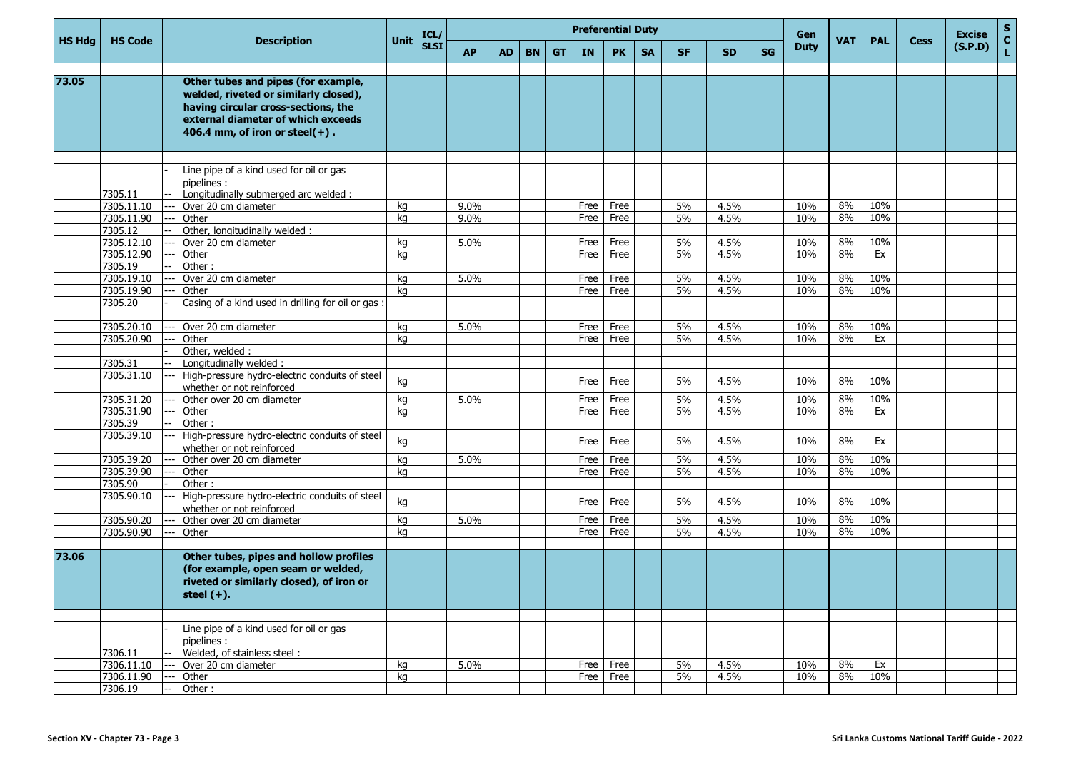|               |                          |                |                                                                                                                                                                                                 |          | ICL/        |           |           |           |           |              | <b>Preferential Duty</b> |           |          |              |           | Gen         |            |            |             | <b>Excise</b> | <b>S</b>          |
|---------------|--------------------------|----------------|-------------------------------------------------------------------------------------------------------------------------------------------------------------------------------------------------|----------|-------------|-----------|-----------|-----------|-----------|--------------|--------------------------|-----------|----------|--------------|-----------|-------------|------------|------------|-------------|---------------|-------------------|
| <b>HS Hdg</b> | <b>HS Code</b>           |                | <b>Description</b>                                                                                                                                                                              | Unit     | <b>SLSI</b> | <b>AP</b> | <b>AD</b> | <b>BN</b> | <b>GT</b> | <b>IN</b>    | <b>PK</b>                | <b>SA</b> | SF.      | <b>SD</b>    | <b>SG</b> | <b>Duty</b> | <b>VAT</b> | <b>PAL</b> | <b>Cess</b> | (S.P.D)       | $\mathbf c$<br>L. |
| 73.05         |                          |                | Other tubes and pipes (for example,<br>welded, riveted or similarly closed),<br>having circular cross-sections, the<br>external diameter of which exceeds<br>406.4 mm, of iron or steel $(+)$ . |          |             |           |           |           |           |              |                          |           |          |              |           |             |            |            |             |               |                   |
|               |                          |                | Line pipe of a kind used for oil or gas                                                                                                                                                         |          |             |           |           |           |           |              |                          |           |          |              |           |             |            |            |             |               |                   |
|               |                          |                | pipelines :                                                                                                                                                                                     |          |             |           |           |           |           |              |                          |           |          |              |           |             |            |            |             |               |                   |
|               | 7305.11                  |                | Longitudinally submerged arc welded :                                                                                                                                                           |          |             |           |           |           |           |              |                          |           |          |              |           |             |            |            |             |               |                   |
|               | 7305.11.10               |                | Over 20 cm diameter                                                                                                                                                                             | kg       |             | 9.0%      |           |           |           | Free         | Free                     |           | 5%       | 4.5%         |           | 10%         | 8%         | 10%        |             |               |                   |
|               | 7305.11.90               | ---            | Other                                                                                                                                                                                           | kg       |             | 9.0%      |           |           |           | Free         | Free                     |           | 5%       | 4.5%         |           | 10%         | 8%         | 10%        |             |               |                   |
|               | 7305.12                  |                | Other, longitudinally welded:                                                                                                                                                                   |          |             |           |           |           |           |              |                          |           |          |              |           |             | 8%         | 10%        |             |               |                   |
|               | 7305.12.10<br>7305.12.90 |                | Over 20 cm diameter<br>Other                                                                                                                                                                    | ka<br>kg |             | 5.0%      |           |           |           | Free<br>Free | Free<br>Free             |           | 5%<br>5% | 4.5%<br>4.5% |           | 10%<br>10%  | 8%         | Ex         |             |               |                   |
|               | 7305.19                  |                | Other:                                                                                                                                                                                          |          |             |           |           |           |           |              |                          |           |          |              |           |             |            |            |             |               |                   |
|               | 7305.19.10               |                | Over 20 cm diameter                                                                                                                                                                             | ka       |             | 5.0%      |           |           |           | Free         | Free                     |           | 5%       | 4.5%         |           | 10%         | 8%         | 10%        |             |               |                   |
|               | 7305.19.90               |                | Other                                                                                                                                                                                           | ka       |             |           |           |           |           | Free         | Free                     |           | 5%       | 4.5%         |           | 10%         | 8%         | 10%        |             |               |                   |
|               | 7305.20                  |                | Casing of a kind used in drilling for oil or gas :                                                                                                                                              |          |             |           |           |           |           |              |                          |           |          |              |           |             |            |            |             |               |                   |
|               | 7305.20.10               |                | Over 20 cm diameter                                                                                                                                                                             | kg       |             | 5.0%      |           |           |           | Free         | Free                     |           | 5%       | 4.5%         |           | 10%         | 8%         | 10%        |             |               |                   |
|               | 7305.20.90               |                | Other                                                                                                                                                                                           | ka       |             |           |           |           |           | Free         | Free                     |           | 5%       | 4.5%         |           | 10%         | 8%         | Ex         |             |               |                   |
|               |                          |                | Other, welded:                                                                                                                                                                                  |          |             |           |           |           |           |              |                          |           |          |              |           |             |            |            |             |               |                   |
|               | 7305.31                  |                | Longitudinally welded:                                                                                                                                                                          |          |             |           |           |           |           |              |                          |           |          |              |           |             |            |            |             |               |                   |
|               | 7305.31.10               |                | High-pressure hydro-electric conduits of steel<br>whether or not reinforced                                                                                                                     | kg       |             |           |           |           |           | Free         | Free                     |           | 5%       | 4.5%         |           | 10%         | 8%         | 10%        |             |               |                   |
|               | 7305.31.20               |                | Other over 20 cm diameter                                                                                                                                                                       | kg       |             | 5.0%      |           |           |           | Free         | Free                     |           | 5%       | 4.5%         |           | 10%         | 8%         | 10%        |             |               |                   |
|               | 7305.31.90               |                | Other                                                                                                                                                                                           | ka       |             |           |           |           |           | Free         | Free                     |           | 5%       | 4.5%         |           | 10%         | 8%         | Ex         |             |               |                   |
|               | 7305.39<br>7305.39.10    |                | Other:<br>High-pressure hydro-electric conduits of steel<br>whether or not reinforced                                                                                                           | kg       |             |           |           |           |           | Free         | Free                     |           | 5%       | 4.5%         |           | 10%         | 8%         | Ex         |             |               |                   |
|               | 7305.39.20               |                | Other over 20 cm diameter                                                                                                                                                                       | kq       |             | 5.0%      |           |           |           | Free         | Free                     |           | 5%       | 4.5%         |           | 10%         | 8%         | 10%        |             |               |                   |
|               | 7305.39.90               |                | Other                                                                                                                                                                                           | kg       |             |           |           |           |           | Free         | Free                     |           | 5%       | 4.5%         |           | 10%         | 8%         | 10%        |             |               |                   |
|               | 7305.90                  |                | Other:                                                                                                                                                                                          |          |             |           |           |           |           |              |                          |           |          |              |           |             |            |            |             |               |                   |
|               | 7305.90.10               |                | High-pressure hydro-electric conduits of steel<br>whether or not reinforced                                                                                                                     | kg       |             |           |           |           |           | Free         | Free                     |           | 5%       | 4.5%         |           | 10%         | 8%         | 10%        |             |               |                   |
|               | 7305.90.20               |                | Other over 20 cm diameter                                                                                                                                                                       | kg       |             | 5.0%      |           |           |           | Free         | Free                     |           | 5%       | 4.5%         |           | 10%         | 8%         | 10%        |             |               |                   |
|               | 7305.90.90               |                | Other                                                                                                                                                                                           | ka       |             |           |           |           |           | Free         | Free                     |           | 5%       | 4.5%         |           | 10%         | 8%         | 10%        |             |               |                   |
|               |                          |                |                                                                                                                                                                                                 |          |             |           |           |           |           |              |                          |           |          |              |           |             |            |            |             |               |                   |
| 73.06         |                          |                | Other tubes, pipes and hollow profiles<br>(for example, open seam or welded,<br>riveted or similarly closed), of iron or<br>steel $(+).$                                                        |          |             |           |           |           |           |              |                          |           |          |              |           |             |            |            |             |               |                   |
|               |                          |                |                                                                                                                                                                                                 |          |             |           |           |           |           |              |                          |           |          |              |           |             |            |            |             |               |                   |
|               |                          |                | Line pipe of a kind used for oil or gas<br>pipelines:                                                                                                                                           |          |             |           |           |           |           |              |                          |           |          |              |           |             |            |            |             |               |                   |
|               | 7306.11                  |                | Welded, of stainless steel:                                                                                                                                                                     |          |             |           |           |           |           |              |                          |           |          |              |           |             |            |            |             |               |                   |
|               | 7306.11.10               |                | Over 20 cm diameter                                                                                                                                                                             | kg       |             | 5.0%      |           |           |           | Free         | Free                     |           | 5%       | 4.5%         |           | 10%         | 8%         | Ex         |             |               |                   |
|               | 7306.11.90               | $\overline{a}$ | Other                                                                                                                                                                                           | kg       |             |           |           |           |           |              | Free Free                |           | 5%       | 4.5%         |           | 10%         | 8%         | 10%        |             |               |                   |
|               | 7306.19                  | --             | Other:                                                                                                                                                                                          |          |             |           |           |           |           |              |                          |           |          |              |           |             |            |            |             |               |                   |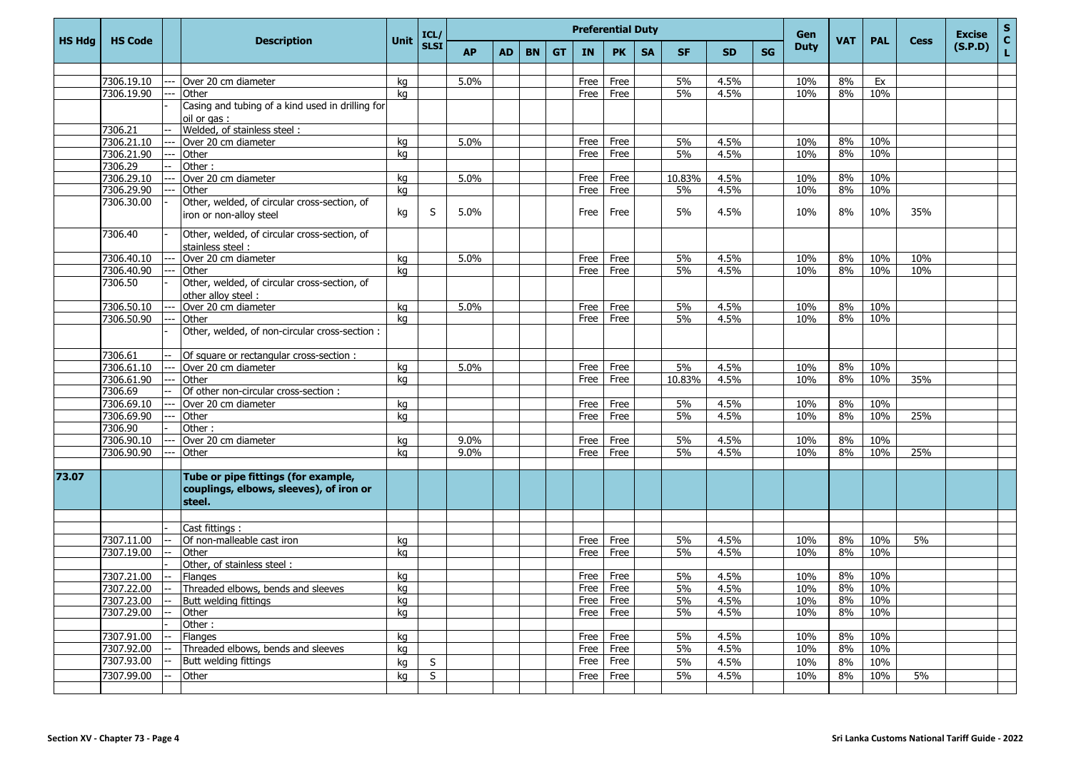|               |                 |       |                                                                                          |      | ICL/        |           |           |           |           |           | <b>Preferential Duty</b> |           |           |           |           | Gen         |            |            |             | <b>Excise</b> | $\mathbf S$       |
|---------------|-----------------|-------|------------------------------------------------------------------------------------------|------|-------------|-----------|-----------|-----------|-----------|-----------|--------------------------|-----------|-----------|-----------|-----------|-------------|------------|------------|-------------|---------------|-------------------|
| <b>HS Hdg</b> | <b>HS Code</b>  |       | <b>Description</b>                                                                       | Unit | <b>SLSI</b> | <b>AP</b> | <b>AD</b> | <b>BN</b> | <b>GT</b> | IN        | <b>PK</b>                | <b>SA</b> | <b>SF</b> | <b>SD</b> | <b>SG</b> | <b>Duty</b> | <b>VAT</b> | <b>PAL</b> | <b>Cess</b> | (S.P.D)       | $\mathbf{C}$<br>L |
|               |                 |       |                                                                                          |      |             |           |           |           |           |           |                          |           |           |           |           |             |            |            |             |               |                   |
|               | 7306.19.10      |       | Over 20 cm diameter                                                                      | kq   |             | 5.0%      |           |           |           | Free      | Free                     |           | 5%        | 4.5%      |           | 10%         | 8%         | Ex         |             |               |                   |
|               | 7306.19.90      |       | Other                                                                                    | ka   |             |           |           |           |           | Free      | Free                     |           | 5%        | 4.5%      |           | 10%         | 8%         | 10%        |             |               |                   |
|               |                 |       | Casing and tubing of a kind used in drilling for<br>oil or gas:                          |      |             |           |           |           |           |           |                          |           |           |           |           |             |            |            |             |               |                   |
|               | 7306.21         |       | Welded, of stainless steel:                                                              |      |             |           |           |           |           |           |                          |           |           |           |           |             |            |            |             |               |                   |
|               | 7306.21.10      |       | Over 20 cm diameter                                                                      | kg   |             | 5.0%      |           |           |           | Free      | Free                     |           | 5%        | 4.5%      |           | 10%         | 8%         | 10%        |             |               |                   |
|               | 7306.21.90      |       | Other                                                                                    | kq   |             |           |           |           |           | Free      | Free                     |           | 5%        | 4.5%      |           | 10%         | 8%         | 10%        |             |               |                   |
|               | 7306.29         |       | Other:                                                                                   |      |             |           |           |           |           |           |                          |           |           |           |           |             |            |            |             |               |                   |
|               | 7306.29.10      |       | Over 20 cm diameter                                                                      | kg   |             | 5.0%      |           |           |           | Free      | Free                     |           | 10.83%    | 4.5%      |           | 10%         | 8%         | 10%        |             |               |                   |
|               | 7306.29.90      |       | Other                                                                                    | kq   |             |           |           |           |           | Free      | Free                     |           | 5%        | 4.5%      |           | 10%         | 8%         | 10%        |             |               |                   |
|               | 7306.30.00      |       | Other, welded, of circular cross-section, of<br>iron or non-alloy steel                  | kg   | S           | 5.0%      |           |           |           | Free      | Free                     |           | 5%        | 4.5%      |           | 10%         | 8%         | 10%        | 35%         |               |                   |
|               | 7306.40         |       | Other, welded, of circular cross-section, of<br>stainless steel:                         |      |             |           |           |           |           |           |                          |           |           |           |           |             |            |            |             |               |                   |
|               | 7306.40.10      |       | Over 20 cm diameter                                                                      | kg   |             | 5.0%      |           |           |           | Free      | Free                     |           | 5%        | 4.5%      |           | 10%         | 8%         | 10%        | 10%         |               |                   |
|               | 7306.40.90      |       | Other                                                                                    | kg   |             |           |           |           |           | Free      | Free                     |           | 5%        | 4.5%      |           | 10%         | 8%         | 10%        | 10%         |               |                   |
|               | 7306.50         |       | Other, welded, of circular cross-section, of<br>other alloy steel :                      |      |             |           |           |           |           |           |                          |           |           |           |           |             |            |            |             |               |                   |
|               | 7306.50.10      |       | Over 20 cm diameter                                                                      | kg   |             | 5.0%      |           |           |           | Free      | Free                     |           | 5%        | 4.5%      |           | 10%         | 8%         | 10%        |             |               |                   |
|               | 7306.50.90      |       | Other                                                                                    | kg   |             |           |           |           |           | Free      | Free                     |           | 5%        | 4.5%      |           | 10%         | 8%         | 10%        |             |               |                   |
|               |                 |       | Other, welded, of non-circular cross-section :                                           |      |             |           |           |           |           |           |                          |           |           |           |           |             |            |            |             |               |                   |
|               | 7306.61         |       | Of square or rectangular cross-section :                                                 |      |             |           |           |           |           |           |                          |           |           |           |           |             |            |            |             |               |                   |
|               | 7306.61.10      | $---$ | Over 20 cm diameter                                                                      | kg   |             | 5.0%      |           |           |           | Free      | Free                     |           | 5%        | 4.5%      |           | 10%         | 8%         | 10%        |             |               |                   |
|               | 7306.61.90      |       | Other                                                                                    | kg   |             |           |           |           |           | Free      | Free                     |           | 10.83%    | 4.5%      |           | 10%         | 8%         | 10%        | 35%         |               |                   |
|               | 7306.69         |       | Of other non-circular cross-section :                                                    |      |             |           |           |           |           |           |                          |           |           |           |           |             |            |            |             |               |                   |
|               | 7306.69.10      |       | Over 20 cm diameter                                                                      | kg   |             |           |           |           |           | Free      | Free                     |           | 5%        | 4.5%      |           | 10%         | 8%         | 10%        |             |               |                   |
|               | 7306.69.90      |       | Other                                                                                    | kq   |             |           |           |           |           | Free      | Free                     |           | 5%        | 4.5%      |           | 10%         | 8%         | 10%        | 25%         |               |                   |
|               | 7306.90         |       | Other:                                                                                   |      |             |           |           |           |           |           |                          |           |           |           |           |             |            |            |             |               |                   |
|               | 7306.90.10      |       | Over 20 cm diameter                                                                      | kg   |             | 9.0%      |           |           |           | Free      | Free                     |           | 5%        | 4.5%      |           | 10%         | 8%         | 10%        |             |               |                   |
|               | 7306.90.90      |       | <b>Other</b>                                                                             | kq   |             | 9.0%      |           |           |           | Free      | Free                     |           | 5%        | 4.5%      |           | 10%         | 8%         | 10%        | 25%         |               |                   |
|               |                 |       |                                                                                          |      |             |           |           |           |           |           |                          |           |           |           |           |             |            |            |             |               |                   |
| 73.07         |                 |       | Tube or pipe fittings (for example,<br>couplings, elbows, sleeves), of iron or<br>steel. |      |             |           |           |           |           |           |                          |           |           |           |           |             |            |            |             |               |                   |
|               |                 |       |                                                                                          |      |             |           |           |           |           |           |                          |           |           |           |           |             |            |            |             |               |                   |
|               |                 |       | Cast fittings :                                                                          |      |             |           |           |           |           |           |                          |           |           |           |           |             |            |            |             |               |                   |
|               | 7307.11.00      |       | Of non-malleable cast iron                                                               | kq   |             |           |           |           |           | Free      | Free                     |           | 5%        | 4.5%      |           | 10%         | 8%         | 10%        | 5%          |               |                   |
|               | 7307.19.00      |       | Other                                                                                    | kg   |             |           |           |           |           | Free      | Free                     |           | 5%        | 4.5%      |           | 10%         | 8%         | 10%        |             |               |                   |
|               |                 |       | Other, of stainless steel:                                                               |      |             |           |           |           |           |           |                          |           |           |           |           |             |            |            |             |               |                   |
|               | 7307.21.00      |       | <b>Flanges</b>                                                                           | kq   |             |           |           |           |           |           | Free Free                |           | 5%        | 4.5%      |           | 10%         | 8%         | 10%        |             |               |                   |
|               | $7307.22.00$ -- |       | Threaded elbows, bends and sleeves                                                       | kg   |             |           |           |           |           | Free Free |                          |           | 5%        | 4.5%      |           | 10%         |            | 8% 10%     |             |               |                   |
|               | 7307.23.00      |       | Butt welding fittings                                                                    | kg   |             |           |           |           |           | Free Free |                          |           | 5%        | 4.5%      |           | 10%         | 8%         | 10%        |             |               |                   |
|               | 7307.29.00      |       | Other                                                                                    | kg   |             |           |           |           |           |           | Free Free                |           | 5%        | 4.5%      |           | 10%         | 8%         | 10%        |             |               |                   |
|               |                 |       | Other:                                                                                   |      |             |           |           |           |           |           |                          |           |           |           |           |             |            |            |             |               |                   |
|               | 7307.91.00      |       | Flanges                                                                                  | kg   |             |           |           |           |           |           | Free Free                |           | 5%        | 4.5%      |           | 10%         | 8%         | 10%        |             |               |                   |
|               | 7307.92.00      |       | Threaded elbows, bends and sleeves                                                       | kg   |             |           |           |           |           |           | Free Free                |           | 5%        | 4.5%      |           | 10%         | 8%         | 10%        |             |               |                   |
|               | 7307.93.00      |       | Butt welding fittings                                                                    | kg   | S           |           |           |           |           |           | Free Free                |           | 5%        | 4.5%      |           | 10%         | 8%         | 10%        |             |               |                   |
|               | 7307.99.00      |       | Other                                                                                    | kg   | S           |           |           |           |           |           | Free Free                |           | 5%        | 4.5%      |           | 10%         | 8%         | 10%        | 5%          |               |                   |
|               |                 |       |                                                                                          |      |             |           |           |           |           |           |                          |           |           |           |           |             |            |            |             |               |                   |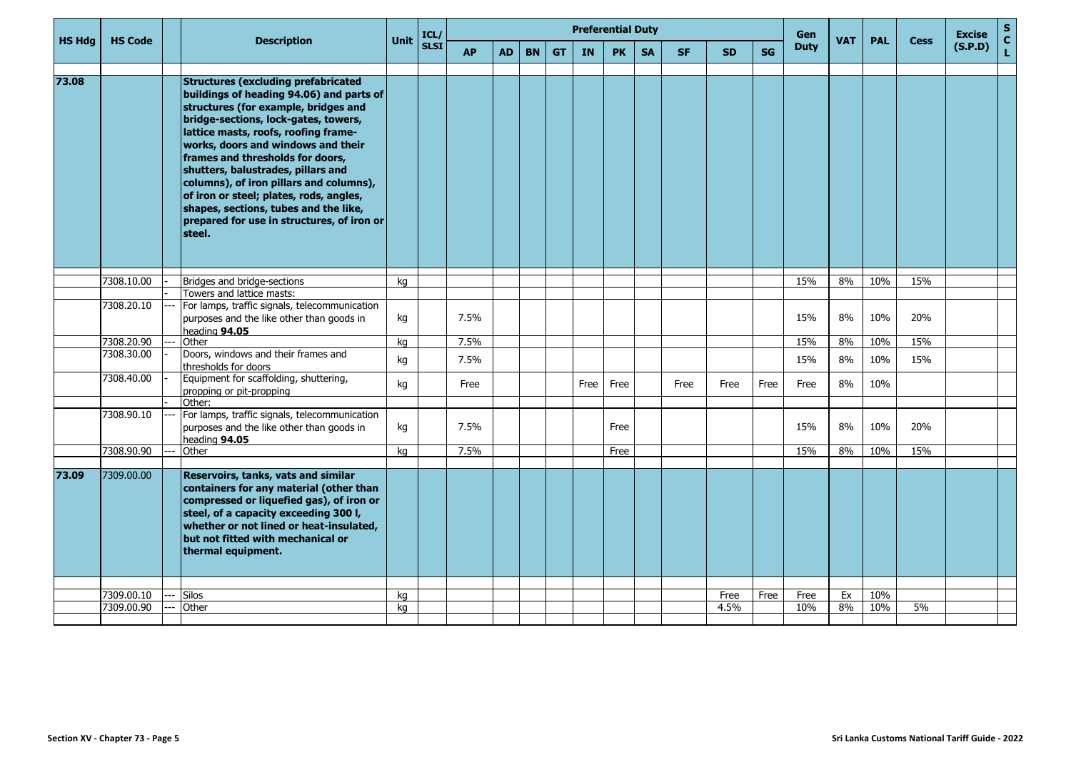|               |                |                                                                                                                                                                                                                                                                                                                                                                                                                                                                                                                       |             | ICL/        |           |           |           |           | <b>Preferential Duty</b> |           |           |           |           |           | <b>Gen</b>  |            |            |             | <b>Excise</b> | ${\sf s}$          |
|---------------|----------------|-----------------------------------------------------------------------------------------------------------------------------------------------------------------------------------------------------------------------------------------------------------------------------------------------------------------------------------------------------------------------------------------------------------------------------------------------------------------------------------------------------------------------|-------------|-------------|-----------|-----------|-----------|-----------|--------------------------|-----------|-----------|-----------|-----------|-----------|-------------|------------|------------|-------------|---------------|--------------------|
| <b>HS Hdg</b> | <b>HS Code</b> | <b>Description</b>                                                                                                                                                                                                                                                                                                                                                                                                                                                                                                    | <b>Unit</b> | <b>SLSI</b> | <b>AP</b> | <b>AD</b> | <b>BN</b> | <b>GT</b> | IN                       | <b>PK</b> | <b>SA</b> | <b>SF</b> | <b>SD</b> | <b>SG</b> | <b>Duty</b> | <b>VAT</b> | <b>PAL</b> | <b>Cess</b> | (S.P.D)       | $\mathbf{C}$<br>L. |
|               |                |                                                                                                                                                                                                                                                                                                                                                                                                                                                                                                                       |             |             |           |           |           |           |                          |           |           |           |           |           |             |            |            |             |               |                    |
| 73.08         |                | <b>Structures (excluding prefabricated</b><br>buildings of heading 94.06) and parts of<br>structures (for example, bridges and<br>bridge-sections, lock-gates, towers,<br>lattice masts, roofs, roofing frame-<br>works, doors and windows and their<br>frames and thresholds for doors,<br>shutters, balustrades, pillars and<br>columns), of iron pillars and columns),<br>of iron or steel; plates, rods, angles,<br>shapes, sections, tubes and the like,<br>prepared for use in structures, of iron or<br>steel. |             |             |           |           |           |           |                          |           |           |           |           |           |             |            |            |             |               |                    |
|               | 7308.10.00     | Bridges and bridge-sections                                                                                                                                                                                                                                                                                                                                                                                                                                                                                           | ka          |             |           |           |           |           |                          |           |           |           |           |           | 15%         | 8%         | 10%        | 15%         |               |                    |
|               |                | Towers and lattice masts:                                                                                                                                                                                                                                                                                                                                                                                                                                                                                             |             |             |           |           |           |           |                          |           |           |           |           |           |             |            |            |             |               |                    |
|               | 7308.20.10     | For lamps, traffic signals, telecommunication<br>purposes and the like other than goods in<br>heading 94.05                                                                                                                                                                                                                                                                                                                                                                                                           | kg          |             | 7.5%      |           |           |           |                          |           |           |           |           |           | 15%         | 8%         | 10%        | 20%         |               |                    |
|               | 7308.20.90     | Other                                                                                                                                                                                                                                                                                                                                                                                                                                                                                                                 | ka          |             | 7.5%      |           |           |           |                          |           |           |           |           |           | 15%         | 8%         | 10%        | 15%         |               |                    |
|               | 7308.30.00     | Doors, windows and their frames and<br>thresholds for doors                                                                                                                                                                                                                                                                                                                                                                                                                                                           | kg          |             | 7.5%      |           |           |           |                          |           |           |           |           |           | 15%         | 8%         | 10%        | 15%         |               |                    |
|               | 7308.40.00     | Equipment for scaffolding, shuttering,<br>propping or pit-propping                                                                                                                                                                                                                                                                                                                                                                                                                                                    | kg          |             | Free      |           |           |           | Free                     | Free      |           | Free      | Free      | Free      | Free        | 8%         | 10%        |             |               |                    |
|               |                | Other:                                                                                                                                                                                                                                                                                                                                                                                                                                                                                                                |             |             |           |           |           |           |                          |           |           |           |           |           |             |            |            |             |               |                    |
|               | 7308.90.10     | For lamps, traffic signals, telecommunication<br>purposes and the like other than goods in<br>heading 94.05                                                                                                                                                                                                                                                                                                                                                                                                           | kg          |             | 7.5%      |           |           |           |                          | Free      |           |           |           |           | 15%         | 8%         | 10%        | 20%         |               |                    |
|               | 7308.90.90     | Other                                                                                                                                                                                                                                                                                                                                                                                                                                                                                                                 | ka          |             | 7.5%      |           |           |           |                          | Free      |           |           |           |           | 15%         | 8%         | 10%        | 15%         |               |                    |
|               |                |                                                                                                                                                                                                                                                                                                                                                                                                                                                                                                                       |             |             |           |           |           |           |                          |           |           |           |           |           |             |            |            |             |               |                    |
| 73.09         | 7309.00.00     | Reservoirs, tanks, vats and similar<br>containers for any material (other than<br>compressed or liquefied gas), of iron or<br>steel, of a capacity exceeding 300 l,<br>whether or not lined or heat-insulated,<br>but not fitted with mechanical or<br>thermal equipment.                                                                                                                                                                                                                                             |             |             |           |           |           |           |                          |           |           |           |           |           |             |            |            |             |               |                    |
|               |                |                                                                                                                                                                                                                                                                                                                                                                                                                                                                                                                       |             |             |           |           |           |           |                          |           |           |           |           |           |             |            |            |             |               |                    |
|               | 7309.00.10     | <b>Silos</b>                                                                                                                                                                                                                                                                                                                                                                                                                                                                                                          | kg          |             |           |           |           |           |                          |           |           |           | Free      | Free      | Free        | Ex         | 10%        |             |               |                    |
|               | 7309.00.90     | Other                                                                                                                                                                                                                                                                                                                                                                                                                                                                                                                 | ka          |             |           |           |           |           |                          |           |           |           | 4.5%      |           | 10%         | 8%         | 10%        | 5%          |               |                    |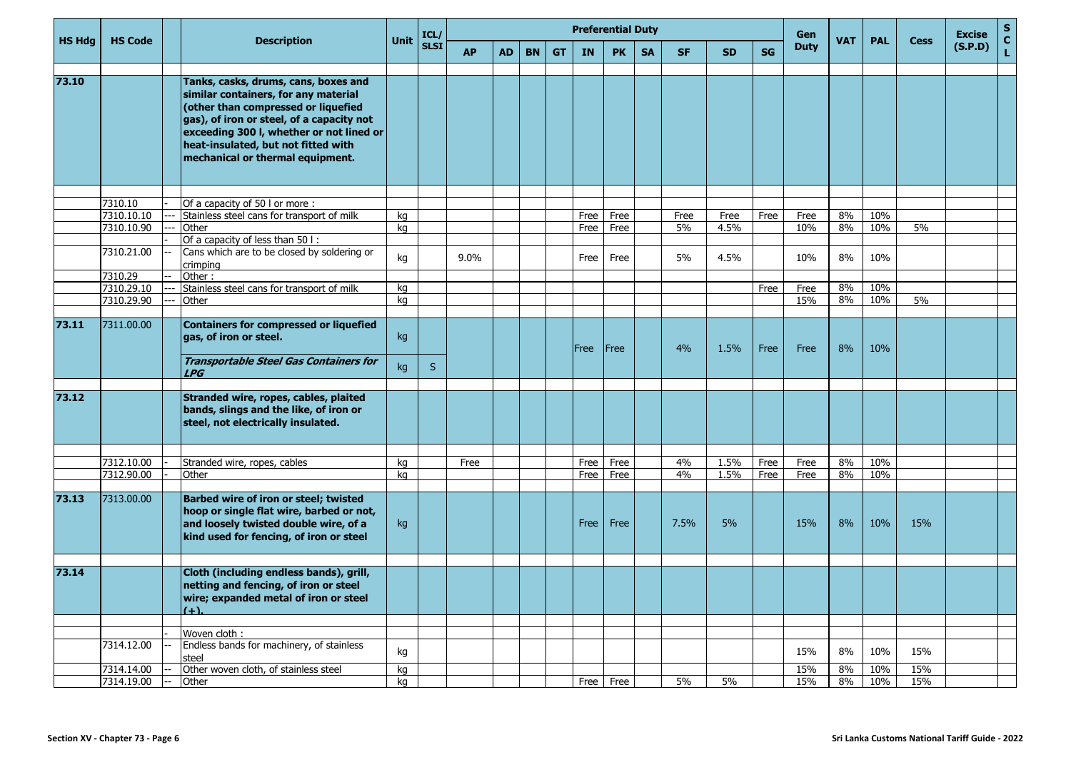|               |                |                          |                                                                                                                                                                                                                                                                                         |          | ICL/        |           |           |           |           |           | <b>Preferential Duty</b> |           |           |           |           | Gen         |            |            |             | <b>Excise</b> | <b>S</b>          |
|---------------|----------------|--------------------------|-----------------------------------------------------------------------------------------------------------------------------------------------------------------------------------------------------------------------------------------------------------------------------------------|----------|-------------|-----------|-----------|-----------|-----------|-----------|--------------------------|-----------|-----------|-----------|-----------|-------------|------------|------------|-------------|---------------|-------------------|
| <b>HS Hdg</b> | <b>HS Code</b> |                          | <b>Description</b>                                                                                                                                                                                                                                                                      | Unit     | <b>SLSI</b> | <b>AP</b> | <b>AD</b> | <b>BN</b> | <b>GT</b> | <b>IN</b> | <b>PK</b>                | <b>SA</b> | <b>SF</b> | <b>SD</b> | <b>SG</b> | <b>Duty</b> | <b>VAT</b> | <b>PAL</b> | <b>Cess</b> | (S.P.D)       | $\mathbf c$<br>L. |
| 73.10         |                |                          | Tanks, casks, drums, cans, boxes and<br>similar containers, for any material<br>(other than compressed or liquefied<br>gas), of iron or steel, of a capacity not<br>exceeding 300 I, whether or not lined or<br>heat-insulated, but not fitted with<br>mechanical or thermal equipment. |          |             |           |           |           |           |           |                          |           |           |           |           |             |            |            |             |               |                   |
|               | 7310.10        |                          | Of a capacity of 50 l or more:                                                                                                                                                                                                                                                          |          |             |           |           |           |           |           |                          |           |           |           |           |             |            |            |             |               |                   |
|               | 7310.10.10     |                          | Stainless steel cans for transport of milk                                                                                                                                                                                                                                              | kg       |             |           |           |           |           | Free      | Free                     |           | Free      | Free      | Free      | Free        | 8%         | 10%        |             |               |                   |
|               | 7310.10.90     |                          | Other                                                                                                                                                                                                                                                                                   | kg       |             |           |           |           |           | Free      | Free                     |           | 5%        | 4.5%      |           | 10%         | 8%         | 10%        | 5%          |               |                   |
|               |                |                          | Of a capacity of less than 50 l:                                                                                                                                                                                                                                                        |          |             |           |           |           |           |           |                          |           |           |           |           |             |            |            |             |               |                   |
|               | 7310.21.00     |                          | Cans which are to be closed by soldering or<br>crimping                                                                                                                                                                                                                                 | kg       |             | 9.0%      |           |           |           | Free      | Free                     |           | 5%        | 4.5%      |           | 10%         | 8%         | 10%        |             |               |                   |
|               | 7310.29        |                          | Other:                                                                                                                                                                                                                                                                                  |          |             |           |           |           |           |           |                          |           |           |           |           |             |            |            |             |               |                   |
|               | 7310.29.10     |                          | Stainless steel cans for transport of milk                                                                                                                                                                                                                                              | kg       |             |           |           |           |           |           |                          |           |           |           | Free      | Free        | 8%         | 10%        |             |               |                   |
|               | 7310.29.90     |                          | Other                                                                                                                                                                                                                                                                                   | kg       |             |           |           |           |           |           |                          |           |           |           |           | 15%         | 8%         | 10%        | 5%          |               |                   |
| 73.11         | 7311.00.00     |                          | Containers for compressed or liquefied<br>gas, of iron or steel.<br>Transportable Steel Gas Containers for                                                                                                                                                                              | kg<br>kg | S           |           |           |           |           | Free      | <b>Free</b>              |           | 4%        | 1.5%      | Free      | Free        | 8%         | 10%        |             |               |                   |
|               |                |                          | <b>LPG</b>                                                                                                                                                                                                                                                                              |          |             |           |           |           |           |           |                          |           |           |           |           |             |            |            |             |               |                   |
| 73.12         |                |                          | Stranded wire, ropes, cables, plaited<br>bands, slings and the like, of iron or<br>steel, not electrically insulated.                                                                                                                                                                   |          |             |           |           |           |           |           |                          |           |           |           |           |             |            |            |             |               |                   |
|               |                |                          |                                                                                                                                                                                                                                                                                         |          |             |           |           |           |           |           |                          |           |           |           |           |             |            |            |             |               |                   |
|               | 7312.10.00     |                          | Stranded wire, ropes, cables                                                                                                                                                                                                                                                            | kq       |             | Free      |           |           |           | Free      | Free                     |           | 4%        | 1.5%      | Free      | Free        | 8%         | 10%        |             |               |                   |
|               | 7312.90.00     |                          | Other                                                                                                                                                                                                                                                                                   | kq       |             |           |           |           |           | Free      | Free                     |           | 4%        | 1.5%      | Free      | Free        | 8%         | 10%        |             |               |                   |
| 73.13         | 7313.00.00     |                          | <b>Barbed wire of iron or steel; twisted</b><br>hoop or single flat wire, barbed or not,<br>and loosely twisted double wire, of a<br>kind used for fencing, of iron or steel                                                                                                            | kg       |             |           |           |           |           | Free      | Free                     |           | 7.5%      | 5%        |           | 15%         | 8%         | 10%        | 15%         |               |                   |
|               |                |                          |                                                                                                                                                                                                                                                                                         |          |             |           |           |           |           |           |                          |           |           |           |           |             |            |            |             |               |                   |
| 73.14         |                |                          | Cloth (including endless bands), grill,<br>netting and fencing, of iron or steel<br>wire; expanded metal of iron or steel<br>$(+)$ .                                                                                                                                                    |          |             |           |           |           |           |           |                          |           |           |           |           |             |            |            |             |               |                   |
|               |                |                          |                                                                                                                                                                                                                                                                                         |          |             |           |           |           |           |           |                          |           |           |           |           |             |            |            |             |               |                   |
|               | 7314.12.00     |                          | Woven cloth:<br>Endless bands for machinery, of stainless<br>steel                                                                                                                                                                                                                      | kg       |             |           |           |           |           |           |                          |           |           |           |           | 15%         | 8%         | 10%        | 15%         |               |                   |
|               | 7314.14.00     |                          | Other woven cloth, of stainless steel                                                                                                                                                                                                                                                   | kg       |             |           |           |           |           |           |                          |           |           |           |           | 15%         | 8%         | 10%        | 15%         |               |                   |
|               | 7314.19.00     | $\overline{\phantom{a}}$ | Other                                                                                                                                                                                                                                                                                   | kg       |             |           |           |           |           |           | Free Free                |           | $5\%$     | 5%        |           | 15%         | 8%         | 10%        | 15%         |               |                   |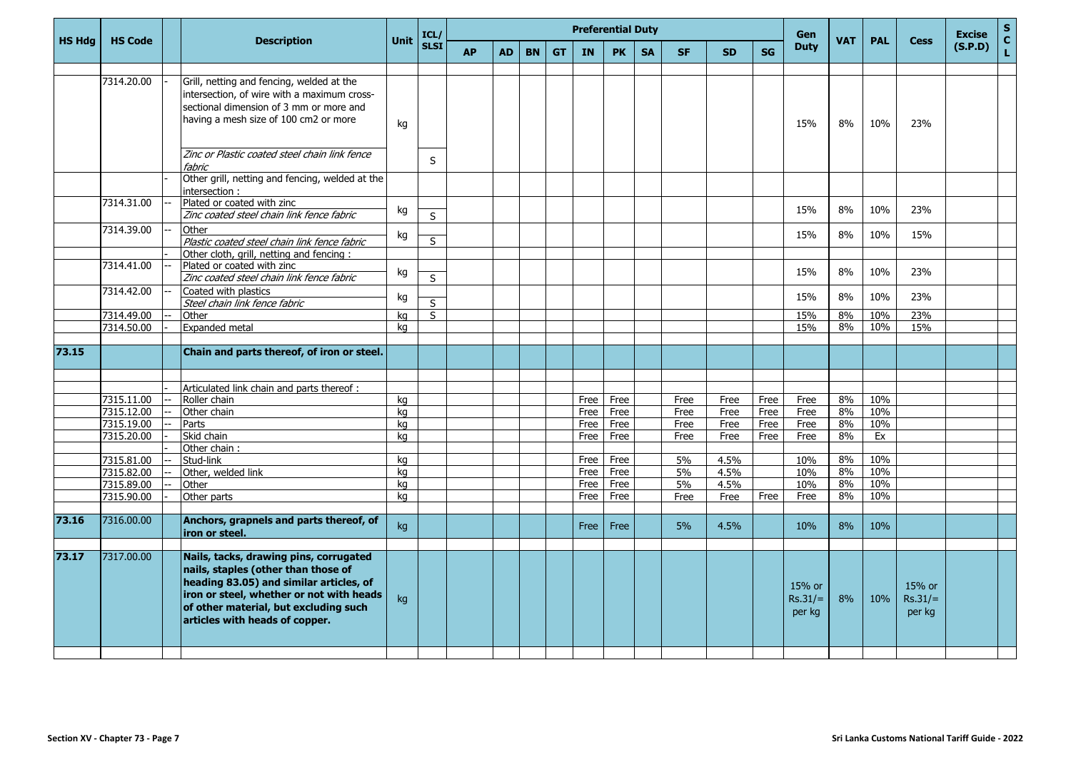|               |                |                                                                                                                                                                                                                                                 |             | ICL/        |           |           |           |           | <b>Preferential Duty</b> |              |           |              |              |              | Gen                           |            |            |                               | S<br><b>Excise</b>  |
|---------------|----------------|-------------------------------------------------------------------------------------------------------------------------------------------------------------------------------------------------------------------------------------------------|-------------|-------------|-----------|-----------|-----------|-----------|--------------------------|--------------|-----------|--------------|--------------|--------------|-------------------------------|------------|------------|-------------------------------|---------------------|
| <b>HS Hdg</b> | <b>HS Code</b> | <b>Description</b>                                                                                                                                                                                                                              | <b>Unit</b> | <b>SLSI</b> | <b>AP</b> | <b>AD</b> | <b>BN</b> | <b>GT</b> | IN                       | <b>PK</b>    | <b>SA</b> | <b>SF</b>    | <b>SD</b>    | SG           | <b>Duty</b>                   | <b>VAT</b> | <b>PAL</b> | <b>Cess</b>                   | C.<br>(S.P.D)<br>L. |
|               | 7314.20.00     | Grill, netting and fencing, welded at the<br>intersection, of wire with a maximum cross-<br>sectional dimension of 3 mm or more and<br>having a mesh size of 100 cm2 or more                                                                    | kg          |             |           |           |           |           |                          |              |           |              |              |              | 15%                           | 8%         | 10%        | 23%                           |                     |
|               |                | Zinc or Plastic coated steel chain link fence<br>fabric<br>Other grill, netting and fencing, welded at the                                                                                                                                      |             | S           |           |           |           |           |                          |              |           |              |              |              |                               |            |            |                               |                     |
|               | 7314.31.00     | intersection:<br>Plated or coated with zinc<br>Zinc coated steel chain link fence fabric                                                                                                                                                        | kg          | S           |           |           |           |           |                          |              |           |              |              |              | 15%                           | 8%         | 10%        | 23%                           |                     |
|               | 7314.39.00     | Other<br>Plastic coated steel chain link fence fabric                                                                                                                                                                                           | kg          | S           |           |           |           |           |                          |              |           |              |              |              | 15%                           | 8%         | 10%        | 15%                           |                     |
|               | 7314.41.00     | Other cloth, grill, netting and fencing:<br>Plated or coated with zinc                                                                                                                                                                          | kg          |             |           |           |           |           |                          |              |           |              |              |              | 15%                           | 8%         | 10%        | 23%                           |                     |
|               | 7314.42.00     | Zinc coated steel chain link fence fabric<br>Coated with plastics<br>Steel chain link fence fabric                                                                                                                                              | kg          | S<br>S      |           |           |           |           |                          |              |           |              |              |              | 15%                           | 8%         | 10%        | 23%                           |                     |
|               | 7314.49.00     | Other                                                                                                                                                                                                                                           | ka          | S           |           |           |           |           |                          |              |           |              |              |              | 15%                           | 8%         | 10%        | 23%                           |                     |
|               | 7314.50.00     | Expanded metal                                                                                                                                                                                                                                  | ka          |             |           |           |           |           |                          |              |           |              |              |              | 15%                           | 8%         | 10%        | 15%                           |                     |
| 73.15         |                | Chain and parts thereof, of iron or steel.                                                                                                                                                                                                      |             |             |           |           |           |           |                          |              |           |              |              |              |                               |            |            |                               |                     |
|               |                |                                                                                                                                                                                                                                                 |             |             |           |           |           |           |                          |              |           |              |              |              |                               |            |            |                               |                     |
|               | 7315.11.00     | Articulated link chain and parts thereof :                                                                                                                                                                                                      |             |             |           |           |           |           |                          |              |           |              |              |              |                               | 8%         | 10%        |                               |                     |
|               | 7315.12.00     | Roller chain<br>Other chain                                                                                                                                                                                                                     | kg<br>ka    |             |           |           |           |           | Free<br>Free             | Free<br>Free |           | Free<br>Free | Free<br>Free | Free<br>Free | Free<br>Free                  | 8%         | 10%        |                               |                     |
|               | 7315.19.00     | Parts                                                                                                                                                                                                                                           | kg          |             |           |           |           |           | Free                     | Free         |           | Free         | Free         | Free         | Free                          | 8%         | 10%        |                               |                     |
|               | 7315.20.00     | Skid chain                                                                                                                                                                                                                                      | ka          |             |           |           |           |           | Free                     | Free         |           | Free         | Free         | <b>Free</b>  | Free                          | 8%         | Ex         |                               |                     |
|               |                | Other chain:                                                                                                                                                                                                                                    |             |             |           |           |           |           |                          |              |           |              |              |              |                               |            |            |                               |                     |
|               | 7315.81.00     | Stud-link                                                                                                                                                                                                                                       | ka          |             |           |           |           |           | Free                     | Free         |           | 5%           | 4.5%         |              | 10%                           | 8%         | 10%        |                               |                     |
|               | 7315.82.00     | Other, welded link                                                                                                                                                                                                                              | kg          |             |           |           |           |           | Free                     | Free         |           | 5%           | 4.5%         |              | 10%                           | 8%         | 10%        |                               |                     |
|               | 7315.89.00     | Other                                                                                                                                                                                                                                           | kg          |             |           |           |           |           | <b>Free</b>              | Free         |           | 5%           | 4.5%         |              | 10%                           | 8%         | 10%        |                               |                     |
|               | 7315.90.00     | Other parts                                                                                                                                                                                                                                     | ka          |             |           |           |           |           | Free                     | Free         |           | Free         | Free         | Free         | Free                          | 8%         | 10%        |                               |                     |
|               |                |                                                                                                                                                                                                                                                 |             |             |           |           |           |           |                          |              |           |              |              |              |                               |            |            |                               |                     |
| 73.16         | 7316.00.00     | Anchors, grapnels and parts thereof, of<br>iron or steel.                                                                                                                                                                                       | kg          |             |           |           |           |           | Free                     | Free         |           | 5%           | 4.5%         |              | 10%                           | 8%         | 10%        |                               |                     |
| 73.17         | 7317.00.00     | Nails, tacks, drawing pins, corrugated<br>nails, staples (other than those of<br>heading 83.05) and similar articles, of<br>iron or steel, whether or not with heads<br>of other material, but excluding such<br>articles with heads of copper. | kg          |             |           |           |           |           |                          |              |           |              |              |              | 15% or<br>$Rs.31/=$<br>per kg | 8%         | 10%        | 15% or<br>$Rs.31/=$<br>per kg |                     |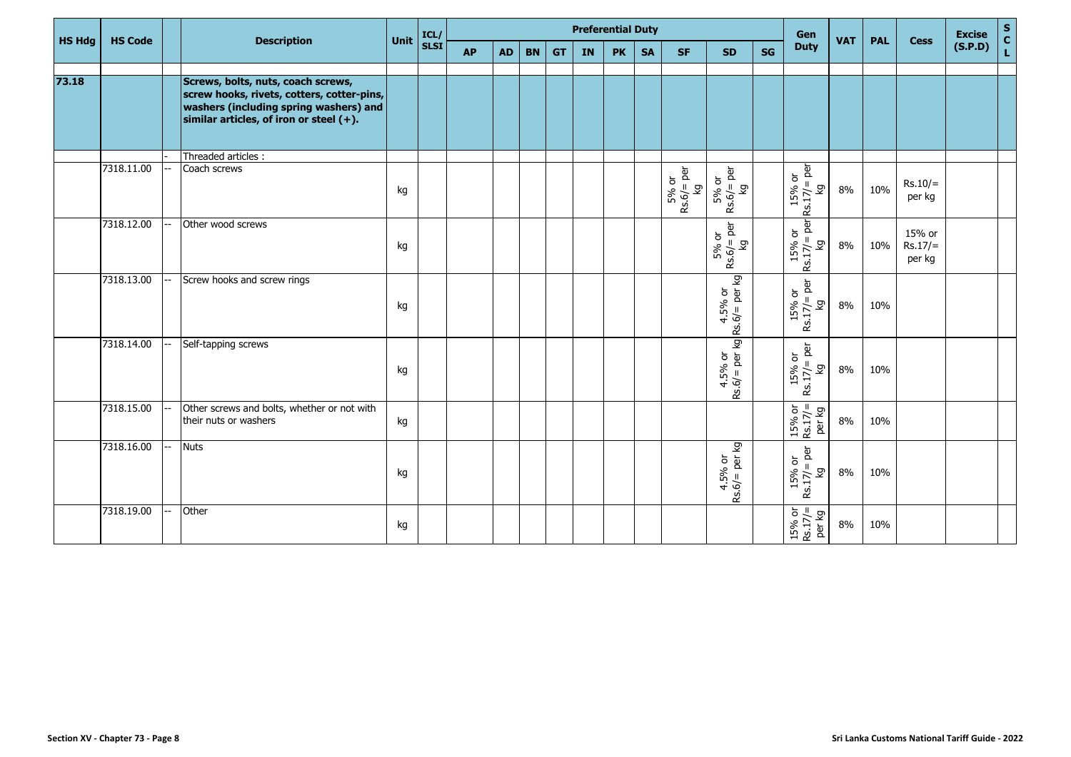|               |                |          |                                                                                                                                                                          |      |              | <b>Preferential Duty</b> |           |           |           |    |           |           |                                |                                                                                             |    | Gen                                                |            |            |                               | <b>Excise</b> |                                             |
|---------------|----------------|----------|--------------------------------------------------------------------------------------------------------------------------------------------------------------------------|------|--------------|--------------------------|-----------|-----------|-----------|----|-----------|-----------|--------------------------------|---------------------------------------------------------------------------------------------|----|----------------------------------------------------|------------|------------|-------------------------------|---------------|---------------------------------------------|
| <b>HS Hdg</b> | <b>HS Code</b> |          | <b>Description</b>                                                                                                                                                       | Unit | ICL/<br>SLSI | <b>AP</b>                | <b>AD</b> | <b>BN</b> | <b>GT</b> | IN | <b>PK</b> | <b>SA</b> | <b>SF</b>                      | <b>SD</b>                                                                                   | SG | <b>Duty</b>                                        | <b>VAT</b> | <b>PAL</b> | <b>Cess</b>                   | (S.P.D)       | $\begin{bmatrix} 5 \\ C \\ L \end{bmatrix}$ |
|               |                |          |                                                                                                                                                                          |      |              |                          |           |           |           |    |           |           |                                |                                                                                             |    |                                                    |            |            |                               |               |                                             |
| 73.18         |                |          | Screws, bolts, nuts, coach screws,<br>screw hooks, rivets, cotters, cotter-pins,<br>washers (including spring washers) and<br>similar articles, of iron or steel $(+)$ . |      |              |                          |           |           |           |    |           |           |                                |                                                                                             |    |                                                    |            |            |                               |               |                                             |
|               |                |          | Threaded articles :                                                                                                                                                      |      |              |                          |           |           |           |    |           |           |                                |                                                                                             |    |                                                    |            |            |                               |               |                                             |
|               | 7318.11.00     |          | Coach screws                                                                                                                                                             | kg   |              |                          |           |           |           |    |           |           | $Rs.6f = per$<br>$kg$<br>5% or | $5%$ or<br>Rs.6/= per<br>Γð                                                                 |    | $Rs.17/ = per$<br>15% or<br>δ                      | 8%         | 10%        | $Rs.10/=$<br>per kg           |               |                                             |
|               | 7318.12.00     |          | Other wood screws                                                                                                                                                        | kg   |              |                          |           |           |           |    |           |           |                                | $Rs.6/=per$<br>5% or<br>Γð                                                                  |    | $Rs.17/=per$<br>15% or<br>δ                        | 8%         | 10%        | 15% or<br>$Rs.17/=$<br>per kg |               |                                             |
|               | 7318.13.00     |          | Screw hooks and screw rings                                                                                                                                              | kg   |              |                          |           |           |           |    |           |           |                                | $Rs.6f = per kg$                                                                            |    | $Rs.17/=per$<br>15% or<br>δ                        | 8%         | 10%        |                               |               |                                             |
|               | 7318.14.00     |          | Self-tapping screws                                                                                                                                                      | kg   |              |                          |           |           |           |    |           |           |                                | $\begin{vmatrix} 4.5\% \ 8.6/2 \  \end{vmatrix}$ per kg $\begin{vmatrix} 6 \ \end{vmatrix}$ |    | $15%$ or<br>Rs.17/= per<br>ΣÅ                      | 8%         | 10%        |                               |               |                                             |
|               | 7318.15.00     |          | Other screws and bolts, whether or not with<br>their nuts or washers                                                                                                     | kg   |              |                          |           |           |           |    |           |           |                                |                                                                                             |    | $15\% \text{ or}$<br>Rs.17/=<br>per kg             | 8%         | 10%        |                               |               |                                             |
|               | 7318.16.00     | <b>.</b> | <b>Nuts</b>                                                                                                                                                              | kg   |              |                          |           |           |           |    |           |           |                                | $4.5% \text{ or } 4.5% \text{ or } 8.6/= \text{per kg}$                                     |    | $Rs.17/=per$<br>15% or<br>δ                        | 8%         | 10%        |                               |               |                                             |
|               | 7318.19.00     |          | Other                                                                                                                                                                    | kg   |              |                          |           |           |           |    |           |           |                                |                                                                                             |    | $\frac{15\% \text{ or}}{\text{Rs.17/=}}$<br>Per kg | 8%         | 10%        |                               |               |                                             |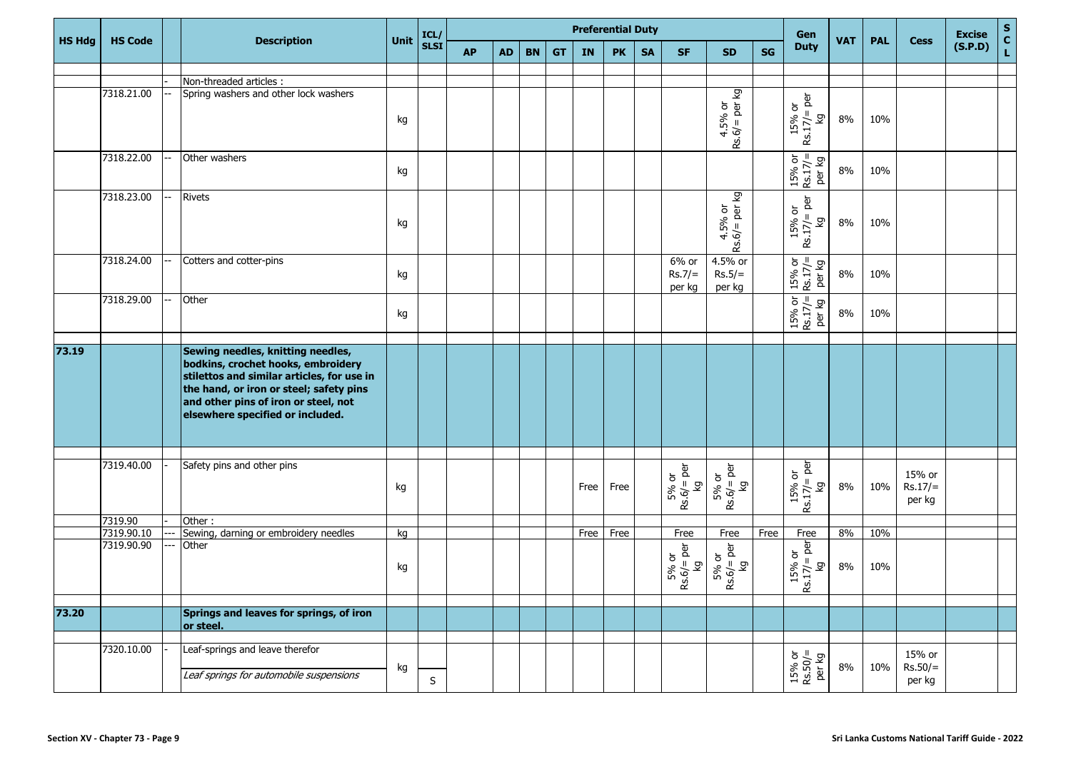|               |                          |                                                                                                                                                                                                                                              |      |              |           |           |           |           |      | <b>Preferential Duty</b> |           |                             |                                                            |      | Gen                                    |            |            |                               | <b>Excise</b> | $\mathbf S$                     |
|---------------|--------------------------|----------------------------------------------------------------------------------------------------------------------------------------------------------------------------------------------------------------------------------------------|------|--------------|-----------|-----------|-----------|-----------|------|--------------------------|-----------|-----------------------------|------------------------------------------------------------|------|----------------------------------------|------------|------------|-------------------------------|---------------|---------------------------------|
| <b>HS Hdg</b> | <b>HS Code</b>           | <b>Description</b>                                                                                                                                                                                                                           | Unit | ICL/<br>SLSI | <b>AP</b> | <b>AD</b> | <b>BN</b> | <b>GT</b> | IN   | <b>PK</b>                | <b>SA</b> | <b>SF</b>                   | <b>SD</b>                                                  | SG   | <b>Duty</b>                            | <b>VAT</b> | <b>PAL</b> | <b>Cess</b>                   | (S.P.D)       | $\frac{\mathsf{c}}{\mathsf{L}}$ |
|               |                          |                                                                                                                                                                                                                                              |      |              |           |           |           |           |      |                          |           |                             |                                                            |      |                                        |            |            |                               |               |                                 |
|               |                          | Non-threaded articles :                                                                                                                                                                                                                      |      |              |           |           |           |           |      |                          |           |                             |                                                            |      |                                        |            |            |                               |               |                                 |
|               | 7318.21.00               | Spring washers and other lock washers                                                                                                                                                                                                        | kg   |              |           |           |           |           |      |                          |           |                             | $4.5%$ or<br>Rs.6/= per kg                                 |      | $Rs.17/ = per$<br>15% or<br>δz         | 8%         | 10%        |                               |               |                                 |
|               | 7318.22.00               | Other washers                                                                                                                                                                                                                                | kg   |              |           |           |           |           |      |                          |           |                             |                                                            |      | $15%$ or<br>Rs.17/=<br>per kg          | 8%         | 10%        |                               |               |                                 |
|               | 7318.23.00               | <b>Rivets</b>                                                                                                                                                                                                                                | kg   |              |           |           |           |           |      |                          |           |                             | $\begin{bmatrix} 4.5\% \ 8.6/=\text{per kg} \end{bmatrix}$ |      | $Rs.17/=per$<br>15% or<br>δ            | 8%         | 10%        |                               |               |                                 |
|               | 7318.24.00               | Cotters and cotter-pins                                                                                                                                                                                                                      | kg   |              |           |           |           |           |      |                          |           | 6% or<br>$Rs.7/=$<br>per kg | 4.5% or<br>$Rs.5/=$<br>per kg                              |      | $15\% \text{ or}$<br>Rs.17/=<br>per kg | 8%         | 10%        |                               |               |                                 |
|               | 7318.29.00               | Other                                                                                                                                                                                                                                        | kg   |              |           |           |           |           |      |                          |           |                             |                                                            |      | $15\% \text{ or}$<br>Rs.17/=<br>per kg | 8%         | 10%        |                               |               |                                 |
|               |                          |                                                                                                                                                                                                                                              |      |              |           |           |           |           |      |                          |           |                             |                                                            |      |                                        |            |            |                               |               |                                 |
| 73.19         |                          | Sewing needles, knitting needles,<br>bodkins, crochet hooks, embroidery<br>stilettos and similar articles, for use in<br>the hand, or iron or steel; safety pins<br>and other pins of iron or steel, not<br>elsewhere specified or included. |      |              |           |           |           |           |      |                          |           |                             |                                                            |      |                                        |            |            |                               |               |                                 |
|               |                          |                                                                                                                                                                                                                                              |      |              |           |           |           |           |      |                          |           |                             |                                                            |      |                                        |            |            |                               |               |                                 |
|               | 7319.40.00               | Safety pins and other pins                                                                                                                                                                                                                   | kg   |              |           |           |           |           | Free | Free                     |           | $Rs.6/=per$<br>5% or<br>δ   | $5%$ or<br>Rs.6/= per<br>ିସ                                |      | $Rs.17/=per$<br>15% or<br>δ            | 8%         | 10%        | 15% or<br>$Rs.17/=$<br>per kg |               |                                 |
|               | 7319.90                  | Other:                                                                                                                                                                                                                                       |      |              |           |           |           |           |      |                          |           |                             |                                                            |      |                                        |            |            |                               |               |                                 |
|               | 7319.90.10<br>7319.90.90 | Sewing, darning or embroidery needles                                                                                                                                                                                                        | kg   |              |           |           |           |           | Free | Free                     |           | Free                        | Free                                                       | Free | Free                                   | 8%         | 10%        |                               |               |                                 |
|               |                          | Other                                                                                                                                                                                                                                        | kg   |              |           |           |           |           |      |                          |           | $Rs.6/=per$<br>5% or<br>δ   | $Rs.6/=per$<br>5% or<br>ିସ                                 |      | $17/2$ per<br>15% or<br>δz<br>œ        | 8%         | 10%        |                               |               |                                 |
| 73.20         |                          | Springs and leaves for springs, of iron                                                                                                                                                                                                      |      |              |           |           |           |           |      |                          |           |                             |                                                            |      |                                        |            |            |                               |               |                                 |
|               |                          | or steel.                                                                                                                                                                                                                                    |      |              |           |           |           |           |      |                          |           |                             |                                                            |      |                                        |            |            |                               |               |                                 |
|               | 7320.10.00               | Leaf-springs and leave therefor                                                                                                                                                                                                              |      |              |           |           |           |           |      |                          |           |                             |                                                            |      |                                        |            |            | 15% or                        |               |                                 |
|               |                          | Leaf springs for automobile suspensions                                                                                                                                                                                                      | kg   | $\sf S$      |           |           |           |           |      |                          |           |                             |                                                            |      | $15\% \text{ or}$ Rs.50/=<br>per kg    | 8%         | 10%        | $Rs.50/=$<br>per kg           |               |                                 |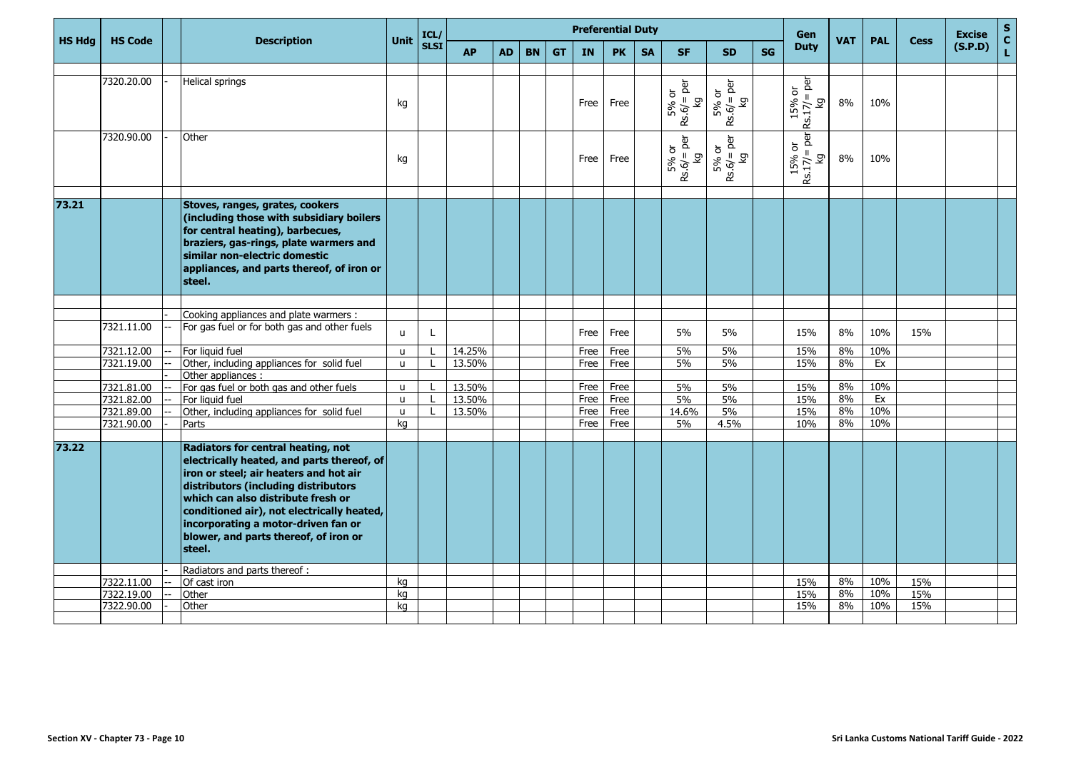|               |                          |                                                                                                                                                                                                                                                                                                                                                  |                   | ICL/        |                  |           | <b>Preferential Duty</b> |           |              |              | <b>Gen</b> |                                |                            |           | <b>Excise</b>                    | $\mathbf{s}$ |            |             |         |                    |
|---------------|--------------------------|--------------------------------------------------------------------------------------------------------------------------------------------------------------------------------------------------------------------------------------------------------------------------------------------------------------------------------------------------|-------------------|-------------|------------------|-----------|--------------------------|-----------|--------------|--------------|------------|--------------------------------|----------------------------|-----------|----------------------------------|--------------|------------|-------------|---------|--------------------|
| <b>HS Hdg</b> | <b>HS Code</b>           | <b>Description</b>                                                                                                                                                                                                                                                                                                                               | Unit              | <b>SLSI</b> | <b>AP</b>        | <b>AD</b> | <b>BN</b>                | <b>GT</b> | IN           | <b>PK</b>    | <b>SA</b>  | <b>SF</b>                      | <b>SD</b>                  | <b>SG</b> | <b>Duty</b>                      | <b>VAT</b>   | <b>PAL</b> | <b>Cess</b> | (S.P.D) | $\mathbf{C}$<br>L, |
|               |                          |                                                                                                                                                                                                                                                                                                                                                  |                   |             |                  |           |                          |           |              |              |            |                                |                            |           |                                  |              |            |             |         |                    |
|               | 7320.20.00               | Helical springs                                                                                                                                                                                                                                                                                                                                  | kg                |             |                  |           |                          |           | Free         | Free         |            | $Rs.6/=per$<br>5% or<br>δ      | $Rs.6/=per$<br>5% or<br>δ  |           | $Rs.17/=per$<br>15% or<br>Κĝ     | 8%           | 10%        |             |         |                    |
|               | 7320.90.00               | Other                                                                                                                                                                                                                                                                                                                                            | kg                |             |                  |           |                          |           | Free         | Free         |            | $Rs.6f = per$<br>$kg$<br>5% or | $Rs.6 = per$<br>5% or<br>δ |           | $\frac{Rs.17}{kg}$ per<br>15% or | 8%           | 10%        |             |         |                    |
| 73.21         |                          | Stoves, ranges, grates, cookers                                                                                                                                                                                                                                                                                                                  |                   |             |                  |           |                          |           |              |              |            |                                |                            |           |                                  |              |            |             |         |                    |
|               |                          | (including those with subsidiary boilers<br>for central heating), barbecues,<br>braziers, gas-rings, plate warmers and<br>similar non-electric domestic<br>appliances, and parts thereof, of iron or<br>steel.                                                                                                                                   |                   |             |                  |           |                          |           |              |              |            |                                |                            |           |                                  |              |            |             |         |                    |
|               |                          | Cooking appliances and plate warmers :                                                                                                                                                                                                                                                                                                           |                   |             |                  |           |                          |           |              |              |            |                                |                            |           |                                  |              |            |             |         |                    |
|               | 7321.11.00               | For gas fuel or for both gas and other fuels                                                                                                                                                                                                                                                                                                     | u                 | L           |                  |           |                          |           | Free         | Free         |            | 5%                             | 5%                         |           | 15%                              | 8%           | 10%        | 15%         |         |                    |
|               | 7321.12.00               | For liquid fuel                                                                                                                                                                                                                                                                                                                                  | u.                |             | 14.25%           |           |                          |           | Free         | Free         |            | 5%                             | 5%                         |           | 15%                              | 8%           | 10%        |             |         |                    |
|               | 7321.19.00               | Other, including appliances for solid fuel                                                                                                                                                                                                                                                                                                       | u.                |             | 13.50%           |           |                          |           | Free         | Free         |            | 5%                             | 5%                         |           | 15%                              | 8%           | Ex         |             |         |                    |
|               |                          | Other appliances :                                                                                                                                                                                                                                                                                                                               |                   |             |                  |           |                          |           |              |              |            |                                |                            |           |                                  |              |            |             |         |                    |
|               | 7321.81.00<br>7321.82.00 | For gas fuel or both gas and other fuels<br>For liquid fuel                                                                                                                                                                                                                                                                                      | u<br>$\mathbf{u}$ |             | 13.50%<br>13.50% |           |                          |           | Free<br>Free | Free<br>Free |            | 5%<br>5%                       | 5%<br>5%                   |           | 15%<br>15%                       | 8%<br>8%     | 10%<br>Ex  |             |         |                    |
|               | 7321.89.00               | Other, including appliances for solid fuel                                                                                                                                                                                                                                                                                                       | u                 |             | 13.50%           |           |                          |           | Free         | Free         |            | 14.6%                          | 5%                         |           | 15%                              | 8%           | 10%        |             |         |                    |
|               | 7321.90.00               | Parts                                                                                                                                                                                                                                                                                                                                            | ka                |             |                  |           |                          |           | Free         | Free         |            | 5%                             | 4.5%                       |           | 10%                              | 8%           | 10%        |             |         |                    |
|               |                          |                                                                                                                                                                                                                                                                                                                                                  |                   |             |                  |           |                          |           |              |              |            |                                |                            |           |                                  |              |            |             |         |                    |
| 73.22         |                          | Radiators for central heating, not<br>electrically heated, and parts thereof, of<br>iron or steel; air heaters and hot air<br>distributors (including distributors<br>which can also distribute fresh or<br>conditioned air), not electrically heated,<br>incorporating a motor-driven fan or<br>blower, and parts thereof, of iron or<br>steel. |                   |             |                  |           |                          |           |              |              |            |                                |                            |           |                                  |              |            |             |         |                    |
|               |                          | Radiators and parts thereof:                                                                                                                                                                                                                                                                                                                     |                   |             |                  |           |                          |           |              |              |            |                                |                            |           |                                  |              |            |             |         |                    |
|               | 7322.11.00               | Of cast iron                                                                                                                                                                                                                                                                                                                                     | kg                |             |                  |           |                          |           |              |              |            |                                |                            |           | 15%                              | 8%           | 10%        | 15%         |         |                    |
|               | 7322.19.00               | Other                                                                                                                                                                                                                                                                                                                                            | kg                |             |                  |           |                          |           |              |              |            |                                |                            |           | 15%                              | 8%           | 10%        | 15%         |         |                    |
|               | 7322.90.00               | Other                                                                                                                                                                                                                                                                                                                                            | kg                |             |                  |           |                          |           |              |              |            |                                |                            |           | 15%                              | 8%           | 10%        | 15%         |         |                    |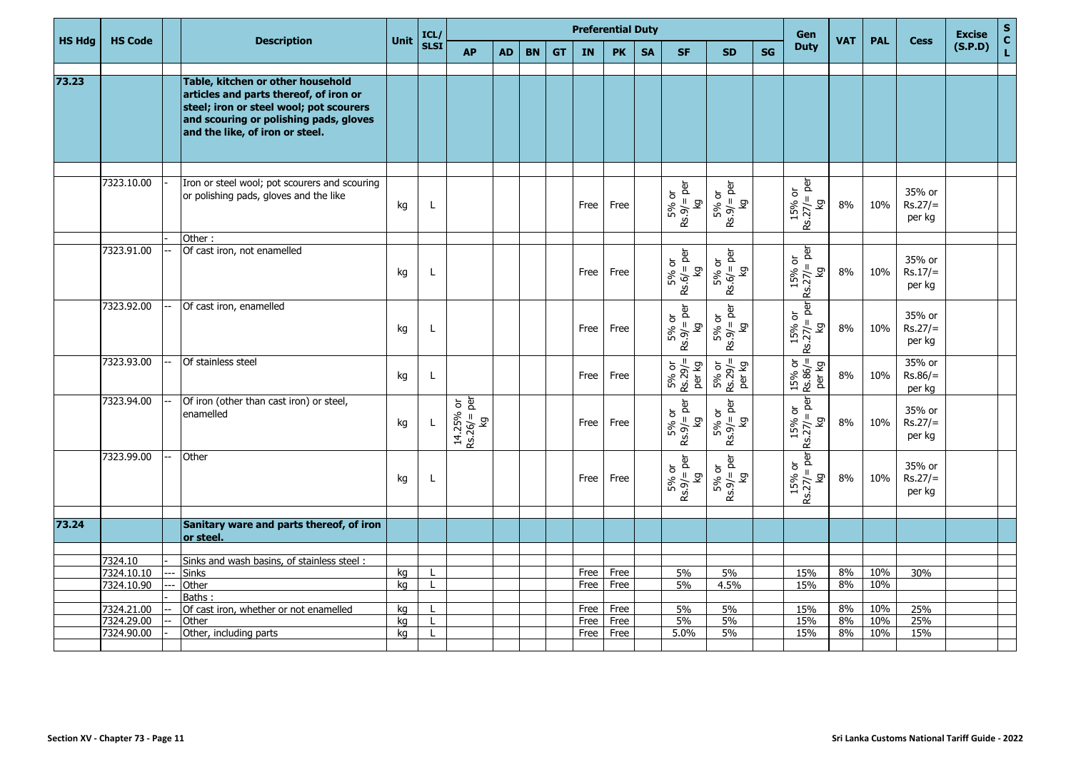|               |                |                                                                                                                                                                                                     | Unit | ICL/         |                                 |           |           |           | <b>Preferential Duty</b> |           |           |                                | Gen                          | <b>VAT</b> | <b>PAL</b>                    |    | <b>Excise</b> | $\sf{s}$                      |         |               |
|---------------|----------------|-----------------------------------------------------------------------------------------------------------------------------------------------------------------------------------------------------|------|--------------|---------------------------------|-----------|-----------|-----------|--------------------------|-----------|-----------|--------------------------------|------------------------------|------------|-------------------------------|----|---------------|-------------------------------|---------|---------------|
| <b>HS Hdg</b> | <b>HS Code</b> | <b>Description</b>                                                                                                                                                                                  |      | <b>SLSI</b>  | <b>AP</b>                       | <b>AD</b> | <b>BN</b> | <b>GT</b> | <b>IN</b>                | <b>PK</b> | <b>SA</b> | <b>SF</b>                      | <b>SD</b>                    | <b>SG</b>  | <b>Duty</b>                   |    |               | <b>Cess</b>                   | (S.P.D) | $\frac{c}{L}$ |
|               |                |                                                                                                                                                                                                     |      |              |                                 |           |           |           |                          |           |           |                                |                              |            |                               |    |               |                               |         |               |
| 73.23         |                | Table, kitchen or other household<br>articles and parts thereof, of iron or<br>steel; iron or steel wool; pot scourers<br>and scouring or polishing pads, gloves<br>and the like, of iron or steel. |      |              |                                 |           |           |           |                          |           |           |                                |                              |            |                               |    |               |                               |         |               |
|               |                |                                                                                                                                                                                                     |      |              |                                 |           |           |           |                          |           |           |                                |                              |            |                               |    |               |                               |         |               |
|               | 7323.10.00     | Iron or steel wool; pot scourers and scouring<br>or polishing pads, gloves and the like                                                                                                             | kg   | L            |                                 |           |           |           | Free                     | Free      |           | $Rs.9/=per$<br>$kg$<br>5% or   | $Rs.9/=per$<br>5% or<br>δ    |            | $Rs.27/=per$<br>15% or<br>Δ   | 8% | 10%           | 35% or<br>$Rs.27/=$<br>per kg |         |               |
|               |                | Other:                                                                                                                                                                                              |      |              |                                 |           |           |           |                          |           |           |                                |                              |            |                               |    |               |                               |         |               |
|               | 7323.91.00     | Of cast iron, not enamelled                                                                                                                                                                         | kg   | L            |                                 |           |           |           | Free                     | Free      |           | $Rs.6f = per$<br>$kg$<br>5% or | $Rs.6/=per$<br>5% or<br>Σò   |            | $Rs.27/=per$<br>15% or<br>Γă  | 8% | 10%           | 35% or<br>$Rs.17/=$<br>per kg |         |               |
|               | 7323.92.00     | Of cast iron, enamelled                                                                                                                                                                             | kg   | L            |                                 |           |           |           | Free                     | Free      |           | $Rs.9/=per$<br>5% or<br>δ      | $Rs.9/=per$<br>5% or<br>Σò   |            | $Rs.27/=per$<br>15% or<br>δ   | 8% | 10%           | 35% or<br>$Rs.27/=$<br>per kg |         |               |
|               | 7323.93.00     | Of stainless steel                                                                                                                                                                                  | kg   | L            |                                 |           |           |           | Free                     | Free      |           | $5%$ or<br>Rs.29/=<br>per kg   | 5% or<br>Rs.29/=<br>per kg   |            | $15%$ or<br>Rs.86/=<br>per kg | 8% | 10%           | 35% or<br>$Rs.86/=$<br>per kg |         |               |
|               | 7323.94.00     | Of iron (other than cast iron) or steel,<br>enamelled                                                                                                                                               | kg   | L            | $14.25%$ or<br>Rs.26/= per<br>δ |           |           |           | Free                     | Free      |           | $Rs.9/=per$<br>5% or<br>Σò     | $Rs.9/=per$<br>5% or<br>Σò   |            | $Rs.27/=per$<br>15% or<br>δ   | 8% | 10%           | 35% or<br>$Rs.27/=$<br>per kg |         |               |
|               | 7323.99.00     | Other                                                                                                                                                                                               | kg   | $\mathsf{L}$ |                                 |           |           |           | Free                     | Free      |           | $Rs.9/ = per$<br>5% or<br>δz   | $Rs.9/ = per$<br>5% or<br>ΣÅ |            | $Rs.27/=per$<br>15% or<br>δ   | 8% | 10%           | 35% or<br>$Rs.27/=$<br>per kg |         |               |
|               |                |                                                                                                                                                                                                     |      |              |                                 |           |           |           |                          |           |           |                                |                              |            |                               |    |               |                               |         |               |
| 73.24         |                | Sanitary ware and parts thereof, of iron<br>or steel.                                                                                                                                               |      |              |                                 |           |           |           |                          |           |           |                                |                              |            |                               |    |               |                               |         |               |
|               | 7324.10        | Sinks and wash basins, of stainless steel:                                                                                                                                                          |      |              |                                 |           |           |           |                          |           |           |                                |                              |            |                               |    |               |                               |         |               |
|               | 7324.10.10     | <b>Sinks</b>                                                                                                                                                                                        | kg   |              |                                 |           |           |           | Free                     | Free      |           | 5%                             | 5%                           |            | 15%                           | 8% | 10%           | 30%                           |         |               |
|               | 7324.10.90     | Other                                                                                                                                                                                               | kg   |              |                                 |           |           |           | Free                     | Free      |           | 5%                             | 4.5%                         |            | 15%                           | 8% | 10%           |                               |         |               |
|               |                | Baths:                                                                                                                                                                                              |      |              |                                 |           |           |           |                          |           |           |                                |                              |            |                               |    |               |                               |         |               |
|               | 7324.21.00     | Of cast iron, whether or not enamelled                                                                                                                                                              | ka   |              |                                 |           |           |           | Free                     | Free      |           | 5%                             | 5%                           |            | 15%                           | 8% | 10%           | 25%                           |         |               |
|               | 7324.29.00     | Other                                                                                                                                                                                               | kg   |              |                                 |           |           |           | Free                     | Free      |           | 5%                             | 5%                           |            | 15%                           | 8% | 10%           | 25%                           |         |               |
|               | 7324.90.00     | Other, including parts                                                                                                                                                                              | ka   |              |                                 |           |           |           | Free                     | Free      |           | 5.0%                           | 5%                           |            | 15%                           | 8% | 10%           | 15%                           |         |               |